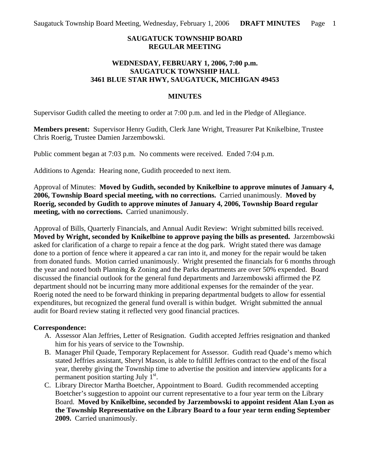## **SAUGATUCK TOWNSHIP BOARD REGULAR MEETING**

### **WEDNESDAY, FEBRUARY 1, 2006, 7:00 p.m. SAUGATUCK TOWNSHIP HALL 3461 BLUE STAR HWY, SAUGATUCK, MICHIGAN 49453**

#### **MINUTES**

Supervisor Gudith called the meeting to order at 7:00 p.m. and led in the Pledge of Allegiance.

**Members present:** Supervisor Henry Gudith, Clerk Jane Wright, Treasurer Pat Knikelbine, Trustee Chris Roerig, Trustee Damien Jarzembowski.

Public comment began at 7:03 p.m. No comments were received. Ended 7:04 p.m.

Additions to Agenda: Hearing none, Gudith proceeded to next item.

Approval of Minutes: **Moved by Gudith, seconded by Knikelbine to approve minutes of January 4, 2006, Township Board special meeting, with no corrections.** Carried unanimously. **Moved by Roerig, seconded by Gudith to approve minutes of January 4, 2006, Township Board regular meeting, with no corrections.** Carried unanimously.

Approval of Bills, Quarterly Financials, and Annual Audit Review: Wright submitted bills received. **Moved by Wright, seconded by Knikelbine to approve paying the bills as presented.** Jarzembowski asked for clarification of a charge to repair a fence at the dog park. Wright stated there was damage done to a portion of fence where it appeared a car ran into it, and money for the repair would be taken from donated funds. Motion carried unanimously. Wright presented the financials for 6 months through the year and noted both Planning & Zoning and the Parks departments are over 50% expended. Board discussed the financial outlook for the general fund departments and Jarzembowski affirmed the PZ department should not be incurring many more additional expenses for the remainder of the year. Roerig noted the need to be forward thinking in preparing departmental budgets to allow for essential expenditures, but recognized the general fund overall is within budget. Wright submitted the annual audit for Board review stating it reflected very good financial practices.

#### **Correspondence:**

- A. Assessor Alan Jeffries, Letter of Resignation. Gudith accepted Jeffries resignation and thanked him for his years of service to the Township.
- B. Manager Phil Quade, Temporary Replacement for Assessor. Gudith read Quade's memo which stated Jeffries assistant, Sheryl Mason, is able to fulfill Jeffries contract to the end of the fiscal year, thereby giving the Township time to advertise the position and interview applicants for a permanent position starting July  $1<sup>st</sup>$ .
- C. Library Director Martha Boetcher, Appointment to Board. Gudith recommended accepting Boetcher's suggestion to appoint our current representative to a four year term on the Library Board. **Moved by Knikelbine, seconded by Jarzembowski to appoint resident Alan Lyon as the Township Representative on the Library Board to a four year term ending September 2009.** Carried unanimously.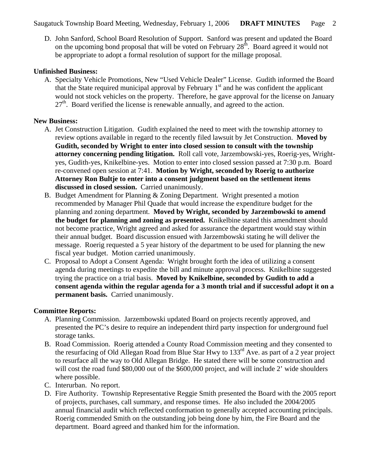Saugatuck Township Board Meeting, Wednesday, February 1, 2006 **DRAFT MINUTES** Page 2

D. John Sanford, School Board Resolution of Support. Sanford was present and updated the Board on the upcoming bond proposal that will be voted on February  $28<sup>th</sup>$ . Board agreed it would not be appropriate to adopt a formal resolution of support for the millage proposal.

#### **Unfinished Business:**

A. Specialty Vehicle Promotions, New "Used Vehicle Dealer" License. Gudith informed the Board that the State required municipal approval by February  $1<sup>st</sup>$  and he was confident the applicant would not stock vehicles on the property. Therefore, he gave approval for the license on January  $27<sup>th</sup>$ . Board verified the license is renewable annually, and agreed to the action.

### **New Business:**

- A. Jet Construction Litigation. Gudith explained the need to meet with the township attorney to review options available in regard to the recently filed lawsuit by Jet Construction. **Moved by Gudith, seconded by Wright to enter into closed session to consult with the township attorney concerning pending litigation.** Roll call vote, Jarzembowski-yes, Roerig-yes, Wrightyes, Gudith-yes, Knikelbine-yes. Motion to enter into closed session passed at 7:30 p.m. Board re-convened open session at 7:41. **Motion by Wright, seconded by Roerig to authorize Attorney Ron Bultje to enter into a consent judgment based on the settlement items discussed in closed session.** Carried unanimously.
- B. Budget Amendment for Planning & Zoning Department. Wright presented a motion recommended by Manager Phil Quade that would increase the expenditure budget for the planning and zoning department. **Moved by Wright, seconded by Jarzembowski to amend the budget for planning and zoning as presented.** Knikelbine stated this amendment should not become practice, Wright agreed and asked for assurance the department would stay within their annual budget. Board discussion ensued with Jarzembowski stating he will deliver the message. Roerig requested a 5 year history of the department to be used for planning the new fiscal year budget. Motion carried unanimously.
- C. Proposal to Adopt a Consent Agenda: Wright brought forth the idea of utilizing a consent agenda during meetings to expedite the bill and minute approval process. Knikelbine suggested trying the practice on a trial basis. **Moved by Knikelbine, seconded by Gudith to add a consent agenda within the regular agenda for a 3 month trial and if successful adopt it on a permanent basis.** Carried unanimously.

# **Committee Reports:**

- A. Planning Commission. Jarzembowski updated Board on projects recently approved, and presented the PC's desire to require an independent third party inspection for underground fuel storage tanks.
- B. Road Commission. Roerig attended a County Road Commission meeting and they consented to the resurfacing of Old Allegan Road from Blue Star Hwy to  $133<sup>rd</sup>$  Ave. as part of a 2 year project to resurface all the way to Old Allegan Bridge. He stated there will be some construction and will cost the road fund \$80,000 out of the \$600,000 project, and will include 2' wide shoulders where possible.
- C. Interurban. No report.
- D. Fire Authority. Township Representative Reggie Smith presented the Board with the 2005 report of projects, purchases, call summary, and response times. He also included the 2004/2005 annual financial audit which reflected conformation to generally accepted accounting principals. Roerig commended Smith on the outstanding job being done by him, the Fire Board and the department. Board agreed and thanked him for the information.